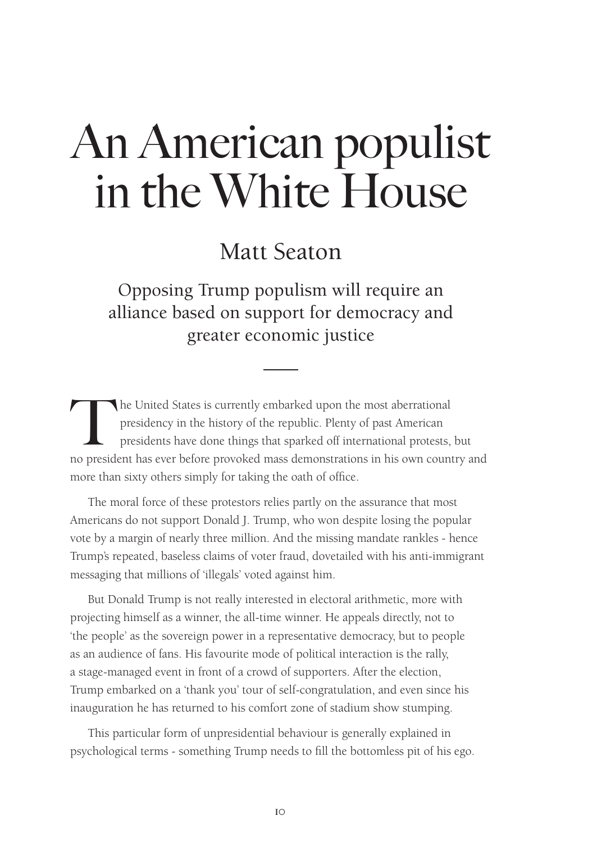## Matt Seaton

Opposing Trump populism will require an alliance based on support for democracy and greater economic justice

The United States is currently embarked upon the most aberrational<br>presidency in the history of the republic. Plenty of past American<br>president has ever before provoked mass demonstrations in his own count<br>cum presidency in the history of the republic. Plenty of past American presidents have done things that sparked off international protests, but no president has ever before provoked mass demonstrations in his own country and more than sixty others simply for taking the oath of office.

The moral force of these protestors relies partly on the assurance that most Americans do not support Donald J. Trump, who won despite losing the popular vote by a margin of nearly three million. And the missing mandate rankles - hence Trump's repeated, baseless claims of voter fraud, dovetailed with his anti-immigrant messaging that millions of 'illegals' voted against him.

But Donald Trump is not really interested in electoral arithmetic, more with projecting himself as a winner, the all-time winner. He appeals directly, not to 'the people' as the sovereign power in a representative democracy, but to people as an audience of fans. His favourite mode of political interaction is the rally, a stage-managed event in front of a crowd of supporters. After the election, Trump embarked on a 'thank you' tour of self-congratulation, and even since his inauguration he has returned to his comfort zone of stadium show stumping.

This particular form of unpresidential behaviour is generally explained in psychological terms - something Trump needs to fill the bottomless pit of his ego.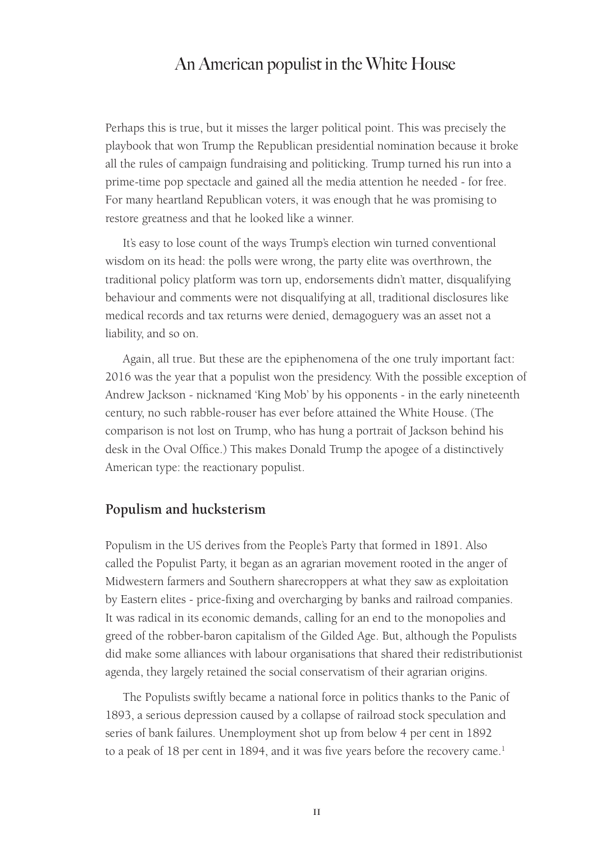Perhaps this is true, but it misses the larger political point. This was precisely the playbook that won Trump the Republican presidential nomination because it broke all the rules of campaign fundraising and politicking. Trump turned his run into a prime-time pop spectacle and gained all the media attention he needed - for free. For many heartland Republican voters, it was enough that he was promising to restore greatness and that he looked like a winner.

It's easy to lose count of the ways Trump's election win turned conventional wisdom on its head: the polls were wrong, the party elite was overthrown, the traditional policy platform was torn up, endorsements didn't matter, disqualifying behaviour and comments were not disqualifying at all, traditional disclosures like medical records and tax returns were denied, demagoguery was an asset not a liability, and so on.

Again, all true. But these are the epiphenomena of the one truly important fact: 2016 was the year that a populist won the presidency. With the possible exception of Andrew Jackson - nicknamed 'King Mob' by his opponents - in the early nineteenth century, no such rabble-rouser has ever before attained the White House. (The comparison is not lost on Trump, who has hung a portrait of Jackson behind his desk in the Oval Office.) This makes Donald Trump the apogee of a distinctively American type: the reactionary populist.

#### **Populism and hucksterism**

Populism in the US derives from the People's Party that formed in 1891. Also called the Populist Party, it began as an agrarian movement rooted in the anger of Midwestern farmers and Southern sharecroppers at what they saw as exploitation by Eastern elites - price-fixing and overcharging by banks and railroad companies. It was radical in its economic demands, calling for an end to the monopolies and greed of the robber-baron capitalism of the Gilded Age. But, although the Populists did make some alliances with labour organisations that shared their redistributionist agenda, they largely retained the social conservatism of their agrarian origins.

The Populists swiftly became a national force in politics thanks to the Panic of 1893, a serious depression caused by a collapse of railroad stock speculation and series of bank failures. Unemployment shot up from below 4 per cent in 1892 to a peak of 18 per cent in 1894, and it was five years before the recovery came.<sup>1</sup>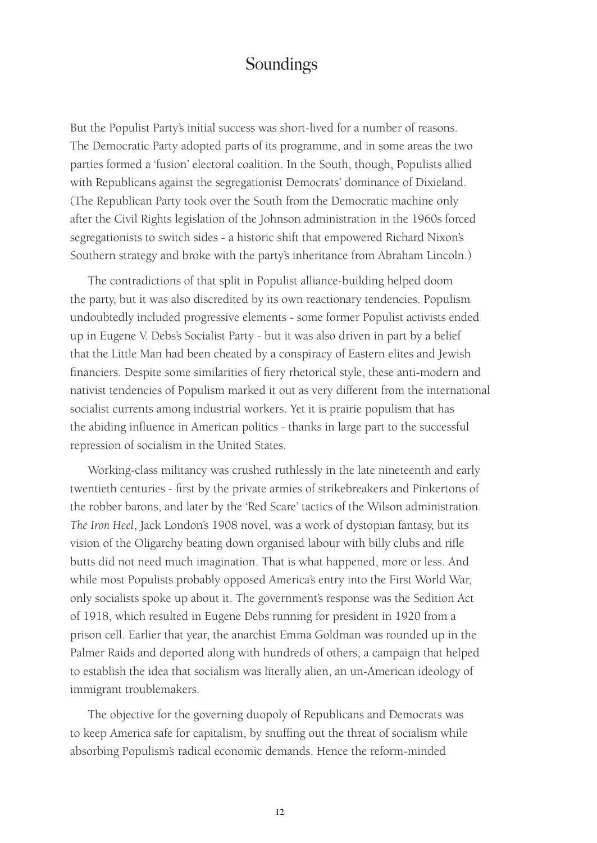But the Populist Party's initial success was short-lived for a number of reasons. The Democratic Party adopted parts of its programme, and in some areas the two parties formed a 'fusion' electoral coalition. In the South, though, Populists allied with Republicans against the segregationist Democrats' dominance of Dixieland. (The Republican Party took over the South from the Democratic machine only after the Civil Rights legislation of the Johnson administration in the 1960s forced segregationists to switch sides - a historic shift that empowered Richard Nixon's Southern strategy and broke with the party's inheritance from Abraham Lincoln.)

The contradictions of that split in Populist alliance-building helped doom the party, but it was also discredited by its own reactionary tendencies. Populism undoubtedly included progressive elements - some former Populist activists ended up in Eugene V. Debs's Socialist Party - but it was also driven in part by a belief that the Little Man had been cheated by a conspiracy of Eastern elites and Jewish financiers. Despite some similarities of fiery rhetorical style, these anti-modern and nativist tendencies of Populism marked it out as very different from the international socialist currents among industrial workers. Yet it is prairie populism that has the abiding influence in American politics - thanks in large part to the successful repression of socialism in the United States.

Working-class militancy was crushed ruthlessly in the late nineteenth and early twentieth centuries - first by the private armies of strikebreakers and Pinkertons of the robber barons, and later by the 'Red Scare' tactics of the Wilson administration. *The Iron Heel*, Jack London's 1908 novel, was a work of dystopian fantasy, but its vision of the Oligarchy beating down organised labour with billy clubs and rifle butts did not need much imagination. That is what happened, more or less. And while most Populists probably opposed America's entry into the First World War, only socialists spoke up about it. The government's response was the Sedition Act of 1918, which resulted in Eugene Debs running for president in 1920 from a prison cell. Earlier that year, the anarchist Emma Goldman was rounded up in the Palmer Raids and deported along with hundreds of others, a campaign that helped to establish the idea that socialism was literally alien, an un-American ideology of immigrant troublemakers.

The objective for the governing duopoly of Republicans and Democrats was to keep America safe for capitalism, by snuffing out the threat of socialism while absorbing Populism's radical economic demands. Hence the reform-minded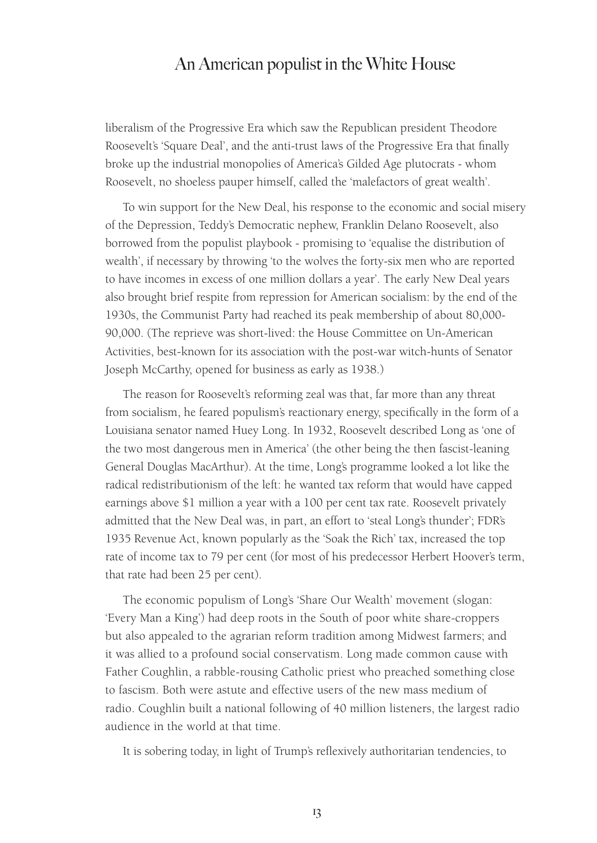liberalism of the Progressive Era which saw the Republican president Theodore Roosevelt's 'Square Deal', and the anti-trust laws of the Progressive Era that finally broke up the industrial monopolies of America's Gilded Age plutocrats - whom Roosevelt, no shoeless pauper himself, called the 'malefactors of great wealth'.

To win support for the New Deal, his response to the economic and social misery of the Depression, Teddy's Democratic nephew, Franklin Delano Roosevelt, also borrowed from the populist playbook - promising to 'equalise the distribution of wealth', if necessary by throwing 'to the wolves the forty-six men who are reported to have incomes in excess of one million dollars a year'. The early New Deal years also brought brief respite from repression for American socialism: by the end of the 1930s, the Communist Party had reached its peak membership of about 80,000- 90,000. (The reprieve was short-lived: the House Committee on Un-American Activities, best-known for its association with the post-war witch-hunts of Senator Joseph McCarthy, opened for business as early as 1938.)

The reason for Roosevelt's reforming zeal was that, far more than any threat from socialism, he feared populism's reactionary energy, specifically in the form of a Louisiana senator named Huey Long. In 1932, Roosevelt described Long as 'one of the two most dangerous men in America' (the other being the then fascist-leaning General Douglas MacArthur). At the time, Long's programme looked a lot like the radical redistributionism of the left: he wanted tax reform that would have capped earnings above \$1 million a year with a 100 per cent tax rate. Roosevelt privately admitted that the New Deal was, in part, an effort to 'steal Long's thunder'; FDR's 1935 Revenue Act, known popularly as the 'Soak the Rich' tax, increased the top rate of income tax to 79 per cent (for most of his predecessor Herbert Hoover's term, that rate had been 25 per cent).

The economic populism of Long's 'Share Our Wealth' movement (slogan: 'Every Man a King') had deep roots in the South of poor white share-croppers but also appealed to the agrarian reform tradition among Midwest farmers; and it was allied to a profound social conservatism. Long made common cause with Father Coughlin, a rabble-rousing Catholic priest who preached something close to fascism. Both were astute and effective users of the new mass medium of radio. Coughlin built a national following of 40 million listeners, the largest radio audience in the world at that time.

It is sobering today, in light of Trump's reflexively authoritarian tendencies, to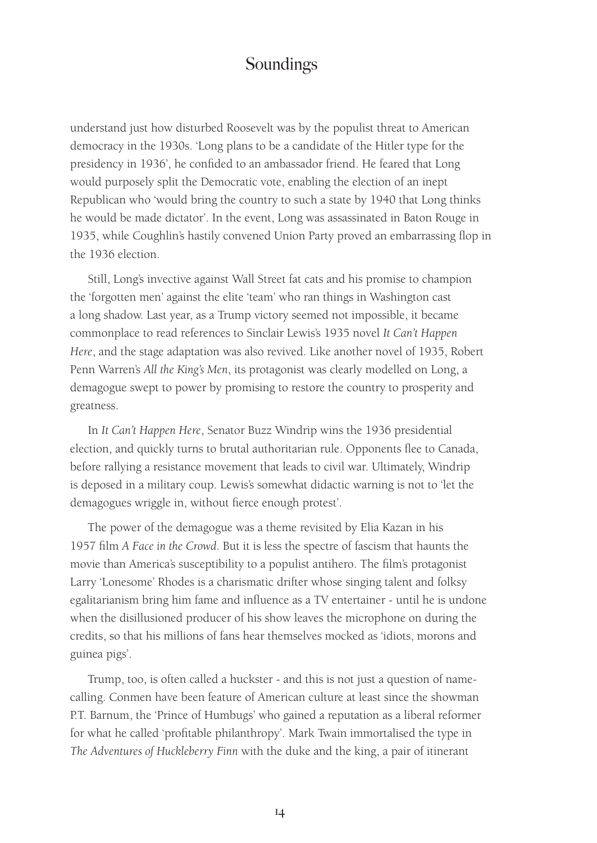understand just how disturbed Roosevelt was by the populist threat to American democracy in the 1930s. 'Long plans to be a candidate of the Hitler type for the presidency in 1936', he confided to an ambassador friend. He feared that Long would purposely split the Democratic vote, enabling the election of an inept Republican who 'would bring the country to such a state by 1940 that Long thinks he would be made dictator'. In the event, Long was assassinated in Baton Rouge in 1935, while Coughlin's hastily convened Union Party proved an embarrassing flop in the 1936 election.

Still, Long's invective against Wall Street fat cats and his promise to champion the 'forgotten men' against the elite 'team' who ran things in Washington cast a long shadow. Last year, as a Trump victory seemed not impossible, it became commonplace to read references to Sinclair Lewis's 1935 novel *It Can't Happen Here*, and the stage adaptation was also revived. Like another novel of 1935, Robert Penn Warren's *All the King's Men*, its protagonist was clearly modelled on Long, a demagogue swept to power by promising to restore the country to prosperity and greatness.

In *It Can't Happen Here*, Senator Buzz Windrip wins the 1936 presidential election, and quickly turns to brutal authoritarian rule. Opponents flee to Canada, before rallying a resistance movement that leads to civil war. Ultimately, Windrip is deposed in a military coup. Lewis's somewhat didactic warning is not to 'let the demagogues wriggle in, without fierce enough protest'.

The power of the demagogue was a theme revisited by Elia Kazan in his 1957 film *A Face in the Crowd*. But it is less the spectre of fascism that haunts the movie than America's susceptibility to a populist antihero. The film's protagonist Larry 'Lonesome' Rhodes is a charismatic drifter whose singing talent and folksy egalitarianism bring him fame and influence as a TV entertainer - until he is undone when the disillusioned producer of his show leaves the microphone on during the credits, so that his millions of fans hear themselves mocked as 'idiots, morons and guinea pigs'.

Trump, too, is often called a huckster - and this is not just a question of namecalling. Conmen have been feature of American culture at least since the showman P.T. Barnum, the 'Prince of Humbugs' who gained a reputation as a liberal reformer for what he called 'profitable philanthropy'. Mark Twain immortalised the type in *The Adventures of Huckleberry Finn* with the duke and the king, a pair of itinerant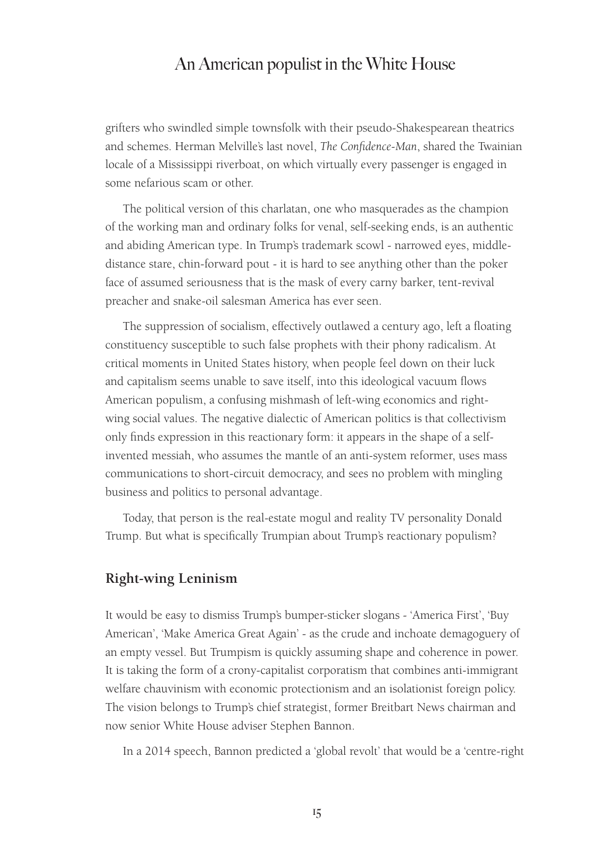grifters who swindled simple townsfolk with their pseudo-Shakespearean theatrics and schemes. Herman Melville's last novel, *The Confidence-Man*, shared the Twainian locale of a Mississippi riverboat, on which virtually every passenger is engaged in some nefarious scam or other.

The political version of this charlatan, one who masquerades as the champion of the working man and ordinary folks for venal, self-seeking ends, is an authentic and abiding American type. In Trump's trademark scowl - narrowed eyes, middledistance stare, chin-forward pout - it is hard to see anything other than the poker face of assumed seriousness that is the mask of every carny barker, tent-revival preacher and snake-oil salesman America has ever seen.

The suppression of socialism, effectively outlawed a century ago, left a floating constituency susceptible to such false prophets with their phony radicalism. At critical moments in United States history, when people feel down on their luck and capitalism seems unable to save itself, into this ideological vacuum flows American populism, a confusing mishmash of left-wing economics and rightwing social values. The negative dialectic of American politics is that collectivism only finds expression in this reactionary form: it appears in the shape of a selfinvented messiah, who assumes the mantle of an anti-system reformer, uses mass communications to short-circuit democracy, and sees no problem with mingling business and politics to personal advantage.

Today, that person is the real-estate mogul and reality TV personality Donald Trump. But what is specifically Trumpian about Trump's reactionary populism?

#### **Right-wing Leninism**

It would be easy to dismiss Trump's bumper-sticker slogans - 'America First', 'Buy American', 'Make America Great Again' - as the crude and inchoate demagoguery of an empty vessel. But Trumpism is quickly assuming shape and coherence in power. It is taking the form of a crony-capitalist corporatism that combines anti-immigrant welfare chauvinism with economic protectionism and an isolationist foreign policy. The vision belongs to Trump's chief strategist, former Breitbart News chairman and now senior White House adviser Stephen Bannon.

In a 2014 speech, Bannon predicted a 'global revolt' that would be a 'centre-right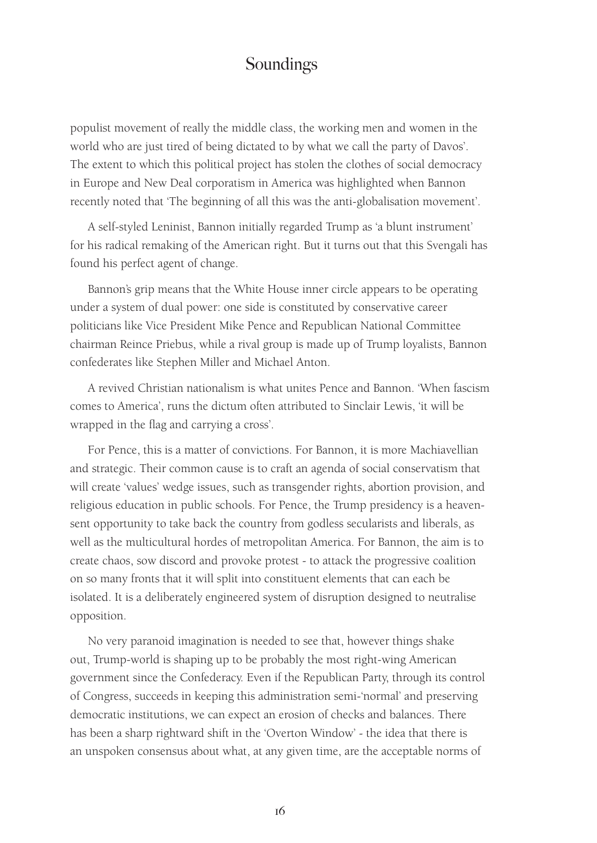populist movement of really the middle class, the working men and women in the world who are just tired of being dictated to by what we call the party of Davos'. The extent to which this political project has stolen the clothes of social democracy in Europe and New Deal corporatism in America was highlighted when Bannon recently noted that 'The beginning of all this was the anti-globalisation movement'.

A self-styled Leninist, Bannon initially regarded Trump as 'a blunt instrument' for his radical remaking of the American right. But it turns out that this Svengali has found his perfect agent of change.

Bannon's grip means that the White House inner circle appears to be operating under a system of dual power: one side is constituted by conservative career politicians like Vice President Mike Pence and Republican National Committee chairman Reince Priebus, while a rival group is made up of Trump loyalists, Bannon confederates like Stephen Miller and Michael Anton.

A revived Christian nationalism is what unites Pence and Bannon. 'When fascism comes to America', runs the dictum often attributed to Sinclair Lewis, 'it will be wrapped in the flag and carrying a cross'.

For Pence, this is a matter of convictions. For Bannon, it is more Machiavellian and strategic. Their common cause is to craft an agenda of social conservatism that will create 'values' wedge issues, such as transgender rights, abortion provision, and religious education in public schools. For Pence, the Trump presidency is a heavensent opportunity to take back the country from godless secularists and liberals, as well as the multicultural hordes of metropolitan America. For Bannon, the aim is to create chaos, sow discord and provoke protest - to attack the progressive coalition on so many fronts that it will split into constituent elements that can each be isolated. It is a deliberately engineered system of disruption designed to neutralise opposition.

No very paranoid imagination is needed to see that, however things shake out, Trump-world is shaping up to be probably the most right-wing American government since the Confederacy. Even if the Republican Party, through its control of Congress, succeeds in keeping this administration semi-'normal' and preserving democratic institutions, we can expect an erosion of checks and balances. There has been a sharp rightward shift in the 'Overton Window' - the idea that there is an unspoken consensus about what, at any given time, are the acceptable norms of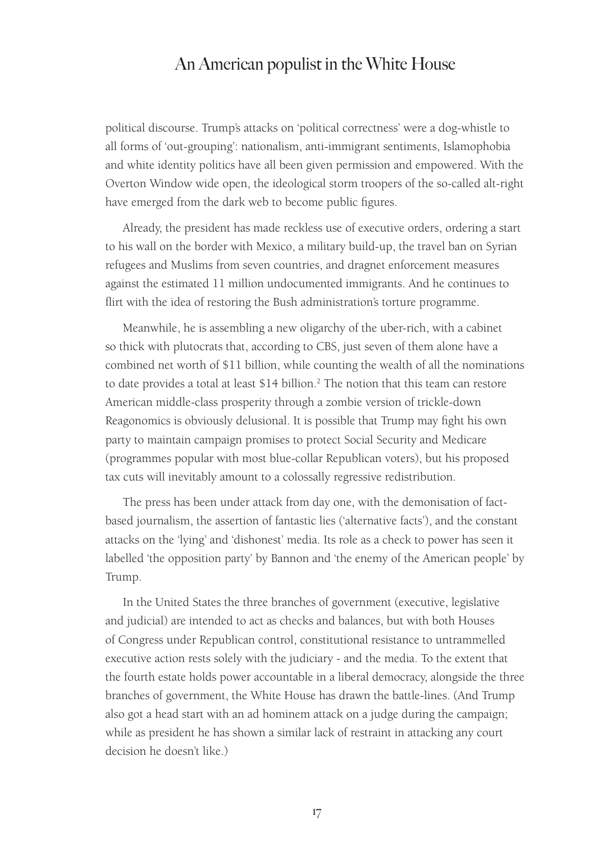political discourse. Trump's attacks on 'political correctness' were a dog-whistle to all forms of 'out-grouping': nationalism, anti-immigrant sentiments, Islamophobia and white identity politics have all been given permission and empowered. With the Overton Window wide open, the ideological storm troopers of the so-called alt-right have emerged from the dark web to become public figures.

Already, the president has made reckless use of executive orders, ordering a start to his wall on the border with Mexico, a military build-up, the travel ban on Syrian refugees and Muslims from seven countries, and dragnet enforcement measures against the estimated 11 million undocumented immigrants. And he continues to flirt with the idea of restoring the Bush administration's torture programme.

Meanwhile, he is assembling a new oligarchy of the uber-rich, with a cabinet so thick with plutocrats that, according to CBS, just seven of them alone have a combined net worth of \$11 billion, while counting the wealth of all the nominations to date provides a total at least  $$14$  billion.<sup>2</sup> The notion that this team can restore American middle-class prosperity through a zombie version of trickle-down Reagonomics is obviously delusional. It is possible that Trump may fight his own party to maintain campaign promises to protect Social Security and Medicare (programmes popular with most blue-collar Republican voters), but his proposed tax cuts will inevitably amount to a colossally regressive redistribution.

The press has been under attack from day one, with the demonisation of factbased journalism, the assertion of fantastic lies ('alternative facts'), and the constant attacks on the 'lying' and 'dishonest' media. Its role as a check to power has seen it labelled 'the opposition party' by Bannon and 'the enemy of the American people' by Trump.

In the United States the three branches of government (executive, legislative and judicial) are intended to act as checks and balances, but with both Houses of Congress under Republican control, constitutional resistance to untrammelled executive action rests solely with the judiciary - and the media. To the extent that the fourth estate holds power accountable in a liberal democracy, alongside the three branches of government, the White House has drawn the battle-lines. (And Trump also got a head start with an ad hominem attack on a judge during the campaign; while as president he has shown a similar lack of restraint in attacking any court decision he doesn't like.)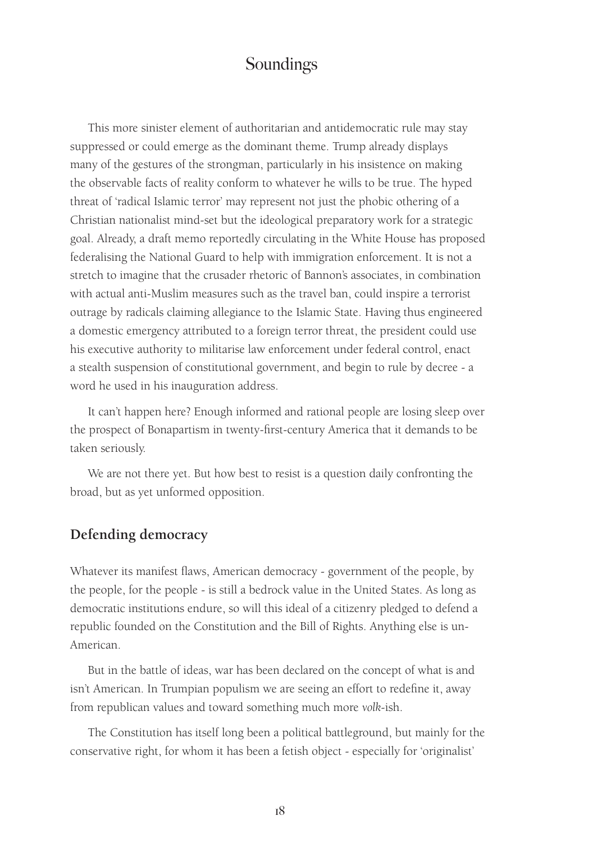This more sinister element of authoritarian and antidemocratic rule may stay suppressed or could emerge as the dominant theme. Trump already displays many of the gestures of the strongman, particularly in his insistence on making the observable facts of reality conform to whatever he wills to be true. The hyped threat of 'radical Islamic terror' may represent not just the phobic othering of a Christian nationalist mind-set but the ideological preparatory work for a strategic goal. Already, a draft memo reportedly circulating in the White House has proposed federalising the National Guard to help with immigration enforcement. It is not a stretch to imagine that the crusader rhetoric of Bannon's associates, in combination with actual anti-Muslim measures such as the travel ban, could inspire a terrorist outrage by radicals claiming allegiance to the Islamic State. Having thus engineered a domestic emergency attributed to a foreign terror threat, the president could use his executive authority to militarise law enforcement under federal control, enact a stealth suspension of constitutional government, and begin to rule by decree - a word he used in his inauguration address.

It can't happen here? Enough informed and rational people are losing sleep over the prospect of Bonapartism in twenty-first-century America that it demands to be taken seriously.

We are not there yet. But how best to resist is a question daily confronting the broad, but as yet unformed opposition.

#### **Defending democracy**

Whatever its manifest flaws, American democracy - government of the people, by the people, for the people - is still a bedrock value in the United States. As long as democratic institutions endure, so will this ideal of a citizenry pledged to defend a republic founded on the Constitution and the Bill of Rights. Anything else is un-American.

But in the battle of ideas, war has been declared on the concept of what is and isn't American. In Trumpian populism we are seeing an effort to redefine it, away from republican values and toward something much more *volk*-ish.

The Constitution has itself long been a political battleground, but mainly for the conservative right, for whom it has been a fetish object - especially for 'originalist'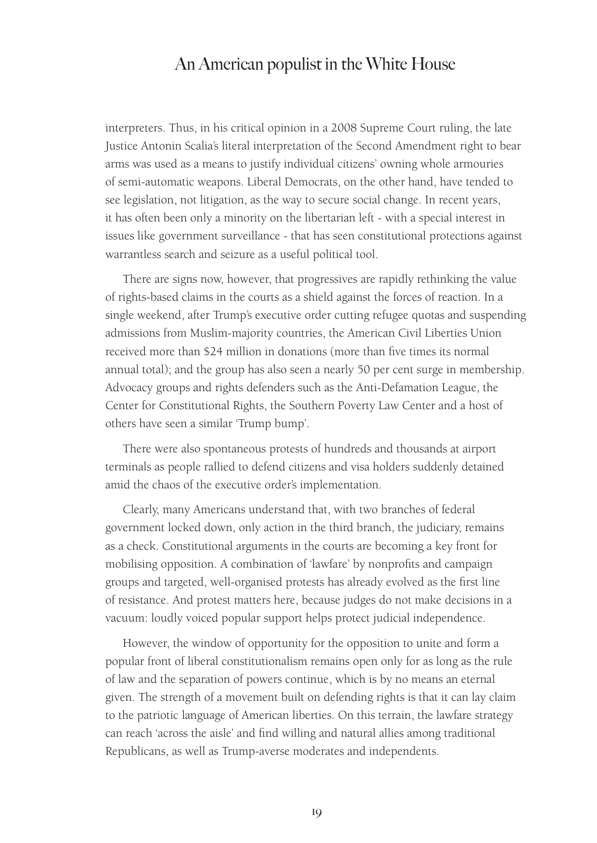interpreters. Thus, in his critical opinion in a 2008 Supreme Court ruling, the late Justice Antonin Scalia's literal interpretation of the Second Amendment right to bear arms was used as a means to justify individual citizens' owning whole armouries of semi-automatic weapons. Liberal Democrats, on the other hand, have tended to see legislation, not litigation, as the way to secure social change. In recent years, it has often been only a minority on the libertarian left - with a special interest in issues like government surveillance - that has seen constitutional protections against warrantless search and seizure as a useful political tool.

There are signs now, however, that progressives are rapidly rethinking the value of rights-based claims in the courts as a shield against the forces of reaction. In a single weekend, after Trump's executive order cutting refugee quotas and suspending admissions from Muslim-majority countries, the American Civil Liberties Union received more than \$24 million in donations (more than five times its normal annual total); and the group has also seen a nearly 50 per cent surge in membership. Advocacy groups and rights defenders such as the Anti-Defamation League, the Center for Constitutional Rights, the Southern Poverty Law Center and a host of others have seen a similar 'Trump bump'.

There were also spontaneous protests of hundreds and thousands at airport terminals as people rallied to defend citizens and visa holders suddenly detained amid the chaos of the executive order's implementation.

Clearly, many Americans understand that, with two branches of federal government locked down, only action in the third branch, the judiciary, remains as a check. Constitutional arguments in the courts are becoming a key front for mobilising opposition. A combination of 'lawfare' by nonprofits and campaign groups and targeted, well-organised protests has already evolved as the first line of resistance. And protest matters here, because judges do not make decisions in a vacuum: loudly voiced popular support helps protect judicial independence.

However, the window of opportunity for the opposition to unite and form a popular front of liberal constitutionalism remains open only for as long as the rule of law and the separation of powers continue, which is by no means an eternal given. The strength of a movement built on defending rights is that it can lay claim to the patriotic language of American liberties. On this terrain, the lawfare strategy can reach 'across the aisle' and find willing and natural allies among traditional Republicans, as well as Trump-averse moderates and independents.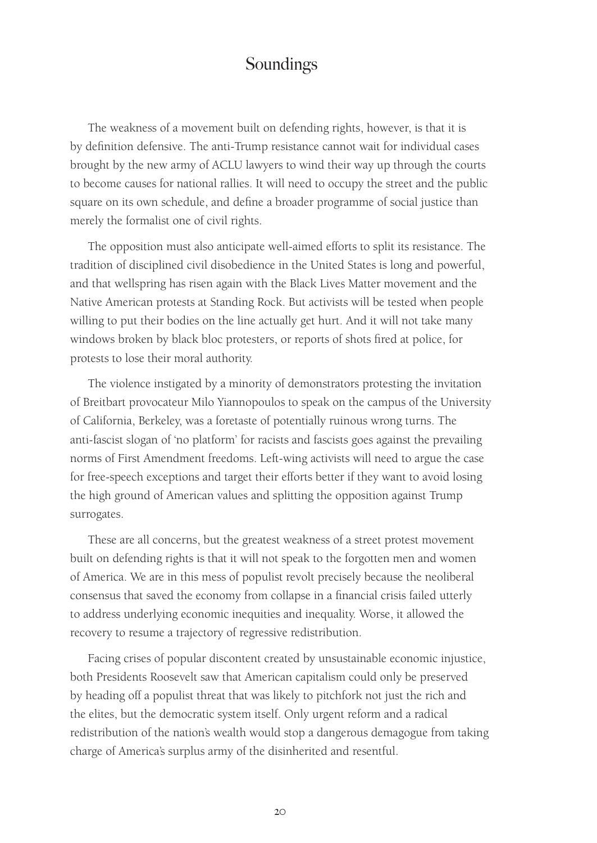The weakness of a movement built on defending rights, however, is that it is by definition defensive. The anti-Trump resistance cannot wait for individual cases brought by the new army of ACLU lawyers to wind their way up through the courts to become causes for national rallies. It will need to occupy the street and the public square on its own schedule, and define a broader programme of social justice than merely the formalist one of civil rights.

The opposition must also anticipate well-aimed efforts to split its resistance. The tradition of disciplined civil disobedience in the United States is long and powerful, and that wellspring has risen again with the Black Lives Matter movement and the Native American protests at Standing Rock. But activists will be tested when people willing to put their bodies on the line actually get hurt. And it will not take many windows broken by black bloc protesters, or reports of shots fired at police, for protests to lose their moral authority.

The violence instigated by a minority of demonstrators protesting the invitation of Breitbart provocateur Milo Yiannopoulos to speak on the campus of the University of California, Berkeley, was a foretaste of potentially ruinous wrong turns. The anti-fascist slogan of 'no platform' for racists and fascists goes against the prevailing norms of First Amendment freedoms. Left-wing activists will need to argue the case for free-speech exceptions and target their efforts better if they want to avoid losing the high ground of American values and splitting the opposition against Trump surrogates.

These are all concerns, but the greatest weakness of a street protest movement built on defending rights is that it will not speak to the forgotten men and women of America. We are in this mess of populist revolt precisely because the neoliberal consensus that saved the economy from collapse in a financial crisis failed utterly to address underlying economic inequities and inequality. Worse, it allowed the recovery to resume a trajectory of regressive redistribution.

Facing crises of popular discontent created by unsustainable economic injustice, both Presidents Roosevelt saw that American capitalism could only be preserved by heading off a populist threat that was likely to pitchfork not just the rich and the elites, but the democratic system itself. Only urgent reform and a radical redistribution of the nation's wealth would stop a dangerous demagogue from taking charge of America's surplus army of the disinherited and resentful.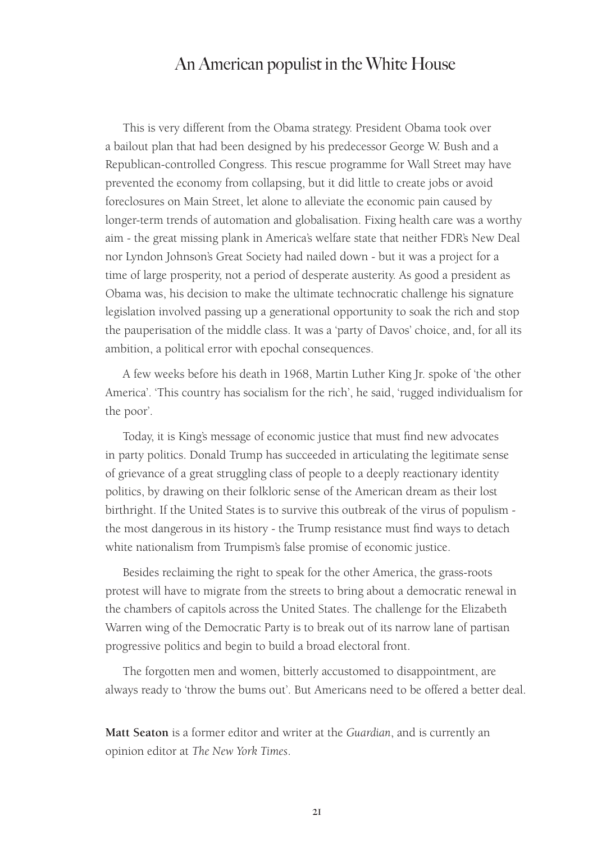This is very different from the Obama strategy. President Obama took over a bailout plan that had been designed by his predecessor George W. Bush and a Republican-controlled Congress. This rescue programme for Wall Street may have prevented the economy from collapsing, but it did little to create jobs or avoid foreclosures on Main Street, let alone to alleviate the economic pain caused by longer-term trends of automation and globalisation. Fixing health care was a worthy aim - the great missing plank in America's welfare state that neither FDR's New Deal nor Lyndon Johnson's Great Society had nailed down - but it was a project for a time of large prosperity, not a period of desperate austerity. As good a president as Obama was, his decision to make the ultimate technocratic challenge his signature legislation involved passing up a generational opportunity to soak the rich and stop the pauperisation of the middle class. It was a 'party of Davos' choice, and, for all its ambition, a political error with epochal consequences.

A few weeks before his death in 1968, Martin Luther King Jr. spoke of 'the other America'. 'This country has socialism for the rich', he said, 'rugged individualism for the poor'.

Today, it is King's message of economic justice that must find new advocates in party politics. Donald Trump has succeeded in articulating the legitimate sense of grievance of a great struggling class of people to a deeply reactionary identity politics, by drawing on their folkloric sense of the American dream as their lost birthright. If the United States is to survive this outbreak of the virus of populism the most dangerous in its history - the Trump resistance must find ways to detach white nationalism from Trumpism's false promise of economic justice.

Besides reclaiming the right to speak for the other America, the grass-roots protest will have to migrate from the streets to bring about a democratic renewal in the chambers of capitols across the United States. The challenge for the Elizabeth Warren wing of the Democratic Party is to break out of its narrow lane of partisan progressive politics and begin to build a broad electoral front.

The forgotten men and women, bitterly accustomed to disappointment, are always ready to 'throw the bums out'. But Americans need to be offered a better deal.

**Matt Seaton** is a former editor and writer at the *Guardian*, and is currently an opinion editor at *The New York Times*.